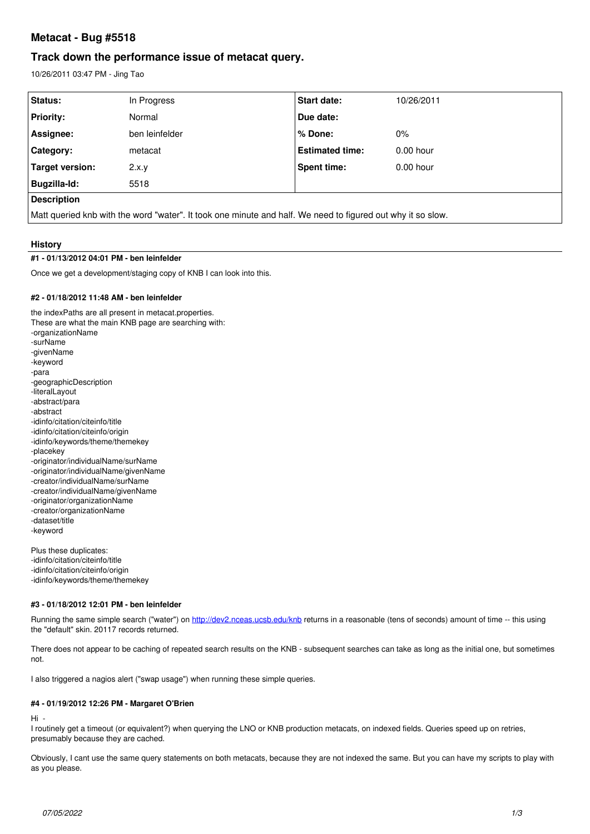# **Metacat - Bug #5518**

# **Track down the performance issue of metacat query.**

10/26/2011 03:47 PM - Jing Tao

| Status:                                                                                                     | In Progress    | <b>Start date:</b>     | 10/26/2011  |
|-------------------------------------------------------------------------------------------------------------|----------------|------------------------|-------------|
| <b>Priority:</b>                                                                                            | Normal         | Due date:              |             |
| Assignee:                                                                                                   | ben leinfelder | % Done:                | $0\%$       |
| <b>Category:</b>                                                                                            | metacat        | <b>Estimated time:</b> | $0.00$ hour |
| Target version:                                                                                             | 2.x.y          | Spent time:            | $0.00$ hour |
| Bugzilla-Id:                                                                                                | 5518           |                        |             |
| <b>Description</b>                                                                                          |                |                        |             |
| Matt queried knb with the word "water". It took one minute and half. We need to figured out why it so slow. |                |                        |             |

# **History**

# **#1 - 01/13/2012 04:01 PM - ben leinfelder**

Once we get a development/staging copy of KNB I can look into this.

# **#2 - 01/18/2012 11:48 AM - ben leinfelder**

the indexPaths are all present in metacat.properties. These are what the main KNB page are searching with: -organizationName -surName -givenName -keyword -para -geographicDescription -literalLayout -abstract/para -abstract -idinfo/citation/citeinfo/title -idinfo/citation/citeinfo/origin -idinfo/keywords/theme/themekey -placekey -originator/individualName/surName -originator/individualName/givenName -creator/individualName/surName -creator/individualName/givenName -originator/organizationName -creator/organizationName -dataset/title -keyword

Plus these duplicates: -idinfo/citation/citeinfo/title -idinfo/citation/citeinfo/origin -idinfo/keywords/theme/themekey

## **#3 - 01/18/2012 12:01 PM - ben leinfelder**

Running the same simple search ("water") on <http://dev2.nceas.ucsb.edu/knb>returns in a reasonable (tens of seconds) amount of time -- this using the "default" skin. 20117 records returned.

There does not appear to be caching of repeated search results on the KNB - subsequent searches can take as long as the initial one, but sometimes not.

I also triggered a nagios alert ("swap usage") when running these simple queries.

# **#4 - 01/19/2012 12:26 PM - Margaret O'Brien**

Hi -

I routinely get a timeout (or equivalent?) when querying the LNO or KNB production metacats, on indexed fields. Queries speed up on retries, presumably because they are cached.

Obviously, I cant use the same query statements on both metacats, because they are not indexed the same. But you can have my scripts to play with as you please.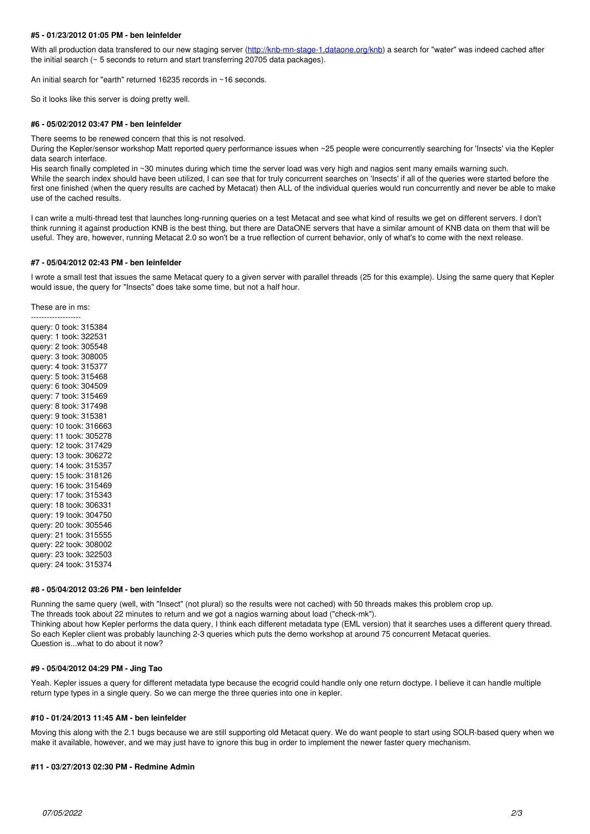## **#5 - 01/23/2012 01:05 PM - ben leinfelder**

With all production data transfered to our new staging server (<http://knb-mn-stage-1.dataone.org/knb>) a search for "water" was indeed cached after the initial search (~ 5 seconds to return and start transferring 20705 data packages).

An initial search for "earth" returned 16235 records in ~16 seconds.

So it looks like this server is doing pretty well.

#### **#6 - 05/02/2012 03:47 PM - ben leinfelder**

There seems to be renewed concern that this is not resolved.

During the Kepler/sensor workshop Matt reported query performance issues when ~25 people were concurrently searching for 'Insects' via the Kepler data search interface.

His search finally completed in ~30 minutes during which time the server load was very high and nagios sent many emails warning such. While the search index should have been utilized, I can see that for truly concurrent searches on 'Insects' if all of the queries were started before the first one finished (when the query results are cached by Metacat) then ALL of the individual queries would run concurrently and never be able to make use of the cached results.

I can write a multi-thread test that launches long-running queries on a test Metacat and see what kind of results we get on different servers. I don't think running it against production KNB is the best thing, but there are DataONE servers that have a similar amount of KNB data on them that will be useful. They are, however, running Metacat 2.0 so won't be a true reflection of current behavior, only of what's to come with the next release.

#### **#7 - 05/04/2012 02:43 PM - ben leinfelder**

I wrote a small test that issues the same Metacat query to a given server with parallel threads (25 for this example). Using the same query that Kepler would issue, the query for "Insects" does take some time, but not a half hour.

These are in ms:

------------------ query: 0 took: 315384 query: 1 took: 322531 query: 2 took: 305548 query: 3 took: 308005 query: 4 took: 315377 query: 5 took: 315468 query: 6 took: 304509 query: 7 took: 315469 query: 8 took: 317498 query: 9 took: 315381 query: 10 took: 316663 query: 11 took: 305278 query: 12 took: 317429 query: 13 took: 306272 query: 14 took: 315357 query: 15 took: 318126 query: 16 took: 315469 query: 17 took: 315343 query: 18 took: 306331 query: 19 took: 304750 query: 20 took: 305546 query: 21 took: 315555 query: 22 took: 308002 query: 23 took: 322503 query: 24 took: 315374

## **#8 - 05/04/2012 03:26 PM - ben leinfelder**

Running the same query (well, with "Insect" (not plural) so the results were not cached) with 50 threads makes this problem crop up.

The threads took about 22 minutes to return and we got a nagios warning about load ("check-mk").

Thinking about how Kepler performs the data query, I think each different metadata type (EML version) that it searches uses a different query thread. So each Kepler client was probably launching 2-3 queries which puts the demo workshop at around 75 concurrent Metacat queries. Question is...what to do about it now?

## **#9 - 05/04/2012 04:29 PM - Jing Tao**

Yeah. Kepler issues a query for different metadata type because the ecogrid could handle only one return doctype. I believe it can handle multiple return type types in a single query. So we can merge the three queries into one in kepler.

### **#10 - 01/24/2013 11:45 AM - ben leinfelder**

Moving this along with the 2.1 bugs because we are still supporting old Metacat query. We do want people to start using SOLR-based query when we make it available, however, and we may just have to ignore this bug in order to implement the newer faster query mechanism.

### **#11 - 03/27/2013 02:30 PM - Redmine Admin**